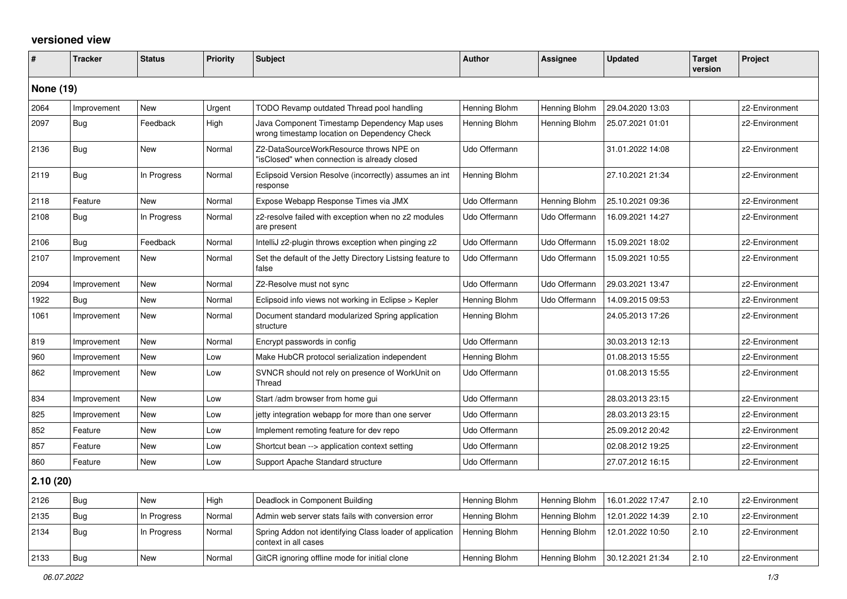## **versioned view**

| #        | <b>Tracker</b>   | <b>Status</b> | <b>Priority</b> | <b>Subject</b>                                                                               | <b>Author</b> | <b>Assignee</b> | <b>Updated</b>   | <b>Target</b><br>version | Project        |
|----------|------------------|---------------|-----------------|----------------------------------------------------------------------------------------------|---------------|-----------------|------------------|--------------------------|----------------|
|          | <b>None (19)</b> |               |                 |                                                                                              |               |                 |                  |                          |                |
| 2064     | Improvement      | New           | Urgent          | TODO Revamp outdated Thread pool handling                                                    | Henning Blohm | Henning Blohm   | 29.04.2020 13:03 |                          | z2-Environment |
| 2097     | Bug              | Feedback      | High            | Java Component Timestamp Dependency Map uses<br>wrong timestamp location on Dependency Check | Henning Blohm | Henning Blohm   | 25.07.2021 01:01 |                          | z2-Environment |
| 2136     | Bug              | New           | Normal          | Z2-DataSourceWorkResource throws NPE on<br>'isClosed" when connection is already closed      | Udo Offermann |                 | 31.01.2022 14:08 |                          | z2-Environment |
| 2119     | <b>Bug</b>       | In Progress   | Normal          | Eclipsoid Version Resolve (incorrectly) assumes an int<br>response                           | Henning Blohm |                 | 27.10.2021 21:34 |                          | z2-Environment |
| 2118     | Feature          | New           | Normal          | Expose Webapp Response Times via JMX                                                         | Udo Offermann | Henning Blohm   | 25.10.2021 09:36 |                          | z2-Environment |
| 2108     | Bug              | In Progress   | Normal          | z2-resolve failed with exception when no z2 modules<br>are present                           | Udo Offermann | Udo Offermann   | 16.09.2021 14:27 |                          | z2-Environment |
| 2106     | Bug              | Feedback      | Normal          | IntelliJ z2-plugin throws exception when pinging z2                                          | Udo Offermann | Udo Offermann   | 15.09.2021 18:02 |                          | z2-Environment |
| 2107     | Improvement      | New           | Normal          | Set the default of the Jetty Directory Listsing feature to<br>false                          | Udo Offermann | Udo Offermann   | 15.09.2021 10:55 |                          | z2-Environment |
| 2094     | Improvement      | <b>New</b>    | Normal          | Z2-Resolve must not sync                                                                     | Udo Offermann | Udo Offermann   | 29.03.2021 13:47 |                          | z2-Environment |
| 1922     | Bug              | New           | Normal          | Eclipsoid info views not working in Eclipse > Kepler                                         | Henning Blohm | Udo Offermann   | 14.09.2015 09:53 |                          | z2-Environment |
| 1061     | Improvement      | <b>New</b>    | Normal          | Document standard modularized Spring application<br>structure                                | Henning Blohm |                 | 24.05.2013 17:26 |                          | z2-Environment |
| 819      | Improvement      | New           | Normal          | Encrypt passwords in config                                                                  | Udo Offermann |                 | 30.03.2013 12:13 |                          | z2-Environment |
| 960      | Improvement      | <b>New</b>    | Low             | Make HubCR protocol serialization independent                                                | Henning Blohm |                 | 01.08.2013 15:55 |                          | z2-Environment |
| 862      | Improvement      | New           | Low             | SVNCR should not rely on presence of WorkUnit on<br>Thread                                   | Udo Offermann |                 | 01.08.2013 15:55 |                          | z2-Environment |
| 834      | Improvement      | <b>New</b>    | Low             | Start/adm browser from home gui                                                              | Udo Offermann |                 | 28.03.2013 23:15 |                          | z2-Environment |
| 825      | Improvement      | New           | Low             | jetty integration webapp for more than one server                                            | Udo Offermann |                 | 28.03.2013 23:15 |                          | z2-Environment |
| 852      | Feature          | New           | Low             | Implement remoting feature for dev repo                                                      | Udo Offermann |                 | 25.09.2012 20:42 |                          | z2-Environment |
| 857      | Feature          | <b>New</b>    | Low             | Shortcut bean --> application context setting                                                | Udo Offermann |                 | 02.08.2012 19:25 |                          | z2-Environment |
| 860      | Feature          | New           | Low             | Support Apache Standard structure                                                            | Udo Offermann |                 | 27.07.2012 16:15 |                          | z2-Environment |
| 2.10(20) |                  |               |                 |                                                                                              |               |                 |                  |                          |                |
| 2126     | Bug              | New           | High            | Deadlock in Component Building                                                               | Henning Blohm | Henning Blohm   | 16.01.2022 17:47 | 2.10                     | z2-Environment |
| 2135     | Bug              | In Progress   | Normal          | Admin web server stats fails with conversion error                                           | Henning Blohm | Henning Blohm   | 12.01.2022 14:39 | 2.10                     | z2-Environment |
| 2134     | Bug              | In Progress   | Normal          | Spring Addon not identifying Class loader of application<br>context in all cases             | Henning Blohm | Henning Blohm   | 12.01.2022 10:50 | 2.10                     | z2-Environment |
| 2133     | Bug              | New           | Normal          | GitCR ignoring offline mode for initial clone                                                | Henning Blohm | Henning Blohm   | 30.12.2021 21:34 | 2.10                     | z2-Environment |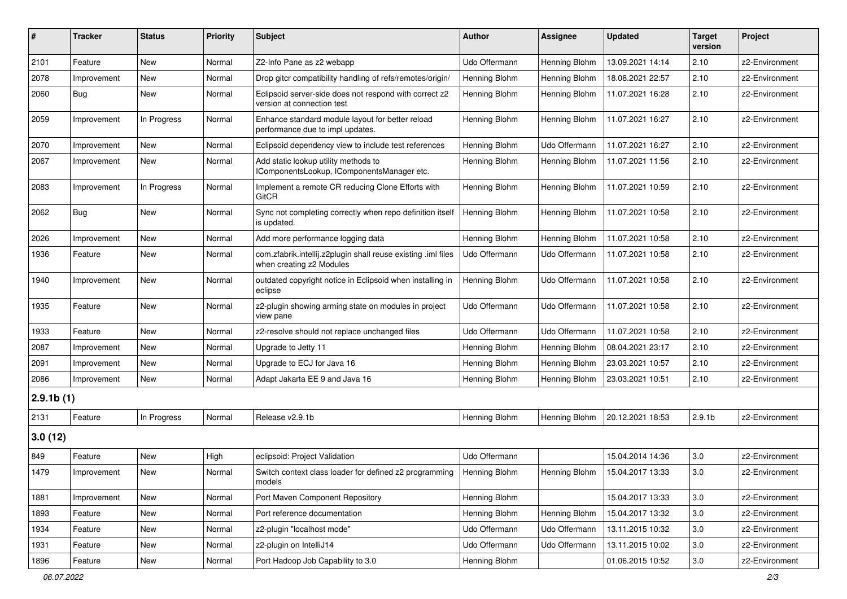| #            | <b>Tracker</b> | <b>Status</b> | <b>Priority</b> | Subject                                                                                   | <b>Author</b> | Assignee      | <b>Updated</b>   | <b>Target</b><br>version | Project        |
|--------------|----------------|---------------|-----------------|-------------------------------------------------------------------------------------------|---------------|---------------|------------------|--------------------------|----------------|
| 2101         | Feature        | New           | Normal          | Z2-Info Pane as z2 webapp                                                                 | Udo Offermann | Henning Blohm | 13.09.2021 14:14 | 2.10                     | z2-Environment |
| 2078         | Improvement    | New           | Normal          | Drop gitcr compatibility handling of refs/remotes/origin/                                 | Henning Blohm | Henning Blohm | 18.08.2021 22:57 | 2.10                     | z2-Environment |
| 2060         | Bug            | New           | Normal          | Eclipsoid server-side does not respond with correct z2<br>version at connection test      | Henning Blohm | Henning Blohm | 11.07.2021 16:28 | 2.10                     | z2-Environment |
| 2059         | Improvement    | In Progress   | Normal          | Enhance standard module layout for better reload<br>performance due to impl updates.      | Henning Blohm | Henning Blohm | 11.07.2021 16:27 | 2.10                     | z2-Environment |
| 2070         | Improvement    | New           | Normal          | Eclipsoid dependency view to include test references                                      | Henning Blohm | Udo Offermann | 11.07.2021 16:27 | 2.10                     | z2-Environment |
| 2067         | Improvement    | New           | Normal          | Add static lookup utility methods to<br>IComponentsLookup, IComponentsManager etc.        | Henning Blohm | Henning Blohm | 11.07.2021 11:56 | 2.10                     | z2-Environment |
| 2083         | Improvement    | In Progress   | Normal          | Implement a remote CR reducing Clone Efforts with<br><b>GitCR</b>                         | Henning Blohm | Henning Blohm | 11.07.2021 10:59 | 2.10                     | z2-Environment |
| 2062         | Bug            | New           | Normal          | Sync not completing correctly when repo definition itself<br>is updated.                  | Henning Blohm | Henning Blohm | 11.07.2021 10:58 | 2.10                     | z2-Environment |
| 2026         | Improvement    | New           | Normal          | Add more performance logging data                                                         | Henning Blohm | Henning Blohm | 11.07.2021 10:58 | 2.10                     | z2-Environment |
| 1936         | Feature        | New           | Normal          | com.zfabrik.intellij.z2plugin shall reuse existing .iml files<br>when creating z2 Modules | Udo Offermann | Udo Offermann | 11.07.2021 10:58 | 2.10                     | z2-Environment |
| 1940         | Improvement    | New           | Normal          | outdated copyright notice in Eclipsoid when installing in<br>eclipse                      | Henning Blohm | Udo Offermann | 11.07.2021 10:58 | 2.10                     | z2-Environment |
| 1935         | Feature        | New           | Normal          | z2-plugin showing arming state on modules in project<br>view pane                         | Udo Offermann | Udo Offermann | 11.07.2021 10:58 | 2.10                     | z2-Environment |
| 1933         | Feature        | New           | Normal          | z2-resolve should not replace unchanged files                                             | Udo Offermann | Udo Offermann | 11.07.2021 10:58 | 2.10                     | z2-Environment |
| 2087         | Improvement    | New           | Normal          | Upgrade to Jetty 11                                                                       | Henning Blohm | Henning Blohm | 08.04.2021 23:17 | 2.10                     | z2-Environment |
| 2091         | Improvement    | New           | Normal          | Upgrade to ECJ for Java 16                                                                | Henning Blohm | Henning Blohm | 23.03.2021 10:57 | 2.10                     | z2-Environment |
| 2086         | Improvement    | New           | Normal          | Adapt Jakarta EE 9 and Java 16                                                            | Henning Blohm | Henning Blohm | 23.03.2021 10:51 | 2.10                     | z2-Environment |
| $2.9.1b$ (1) |                |               |                 |                                                                                           |               |               |                  |                          |                |
| 2131         | Feature        | In Progress   | Normal          | Release v2.9.1b                                                                           | Henning Blohm | Henning Blohm | 20.12.2021 18:53 | 2.9.1 <sub>b</sub>       | z2-Environment |
| 3.0(12)      |                |               |                 |                                                                                           |               |               |                  |                          |                |
| 849          | Feature        | New           | High            | eclipsoid: Project Validation                                                             | Udo Offermann |               | 15.04.2014 14:36 | 3.0                      | z2-Environment |
| 1479         | Improvement    | New           | Normal          | Switch context class loader for defined z2 programming<br>models                          | Henning Blohm | Henning Blohm | 15.04.2017 13:33 | 3.0                      | z2-Environment |
| 1881         | Improvement    | New           | Normal          | Port Maven Component Repository                                                           | Henning Blohm |               | 15.04.2017 13:33 | 3.0                      | z2-Environment |
| 1893         | Feature        | New           | Normal          | Port reference documentation                                                              | Henning Blohm | Henning Blohm | 15.04.2017 13:32 | 3.0                      | z2-Environment |
| 1934         | Feature        | New           | Normal          | z2-plugin "localhost mode"                                                                | Udo Offermann | Udo Offermann | 13.11.2015 10:32 | 3.0                      | z2-Environment |
| 1931         | Feature        | New           | Normal          | z2-plugin on IntelliJ14                                                                   | Udo Offermann | Udo Offermann | 13.11.2015 10:02 | 3.0                      | z2-Environment |
| 1896         | Feature        | New           | Normal          | Port Hadoop Job Capability to 3.0                                                         | Henning Blohm |               | 01.06.2015 10:52 | 3.0                      | z2-Environment |